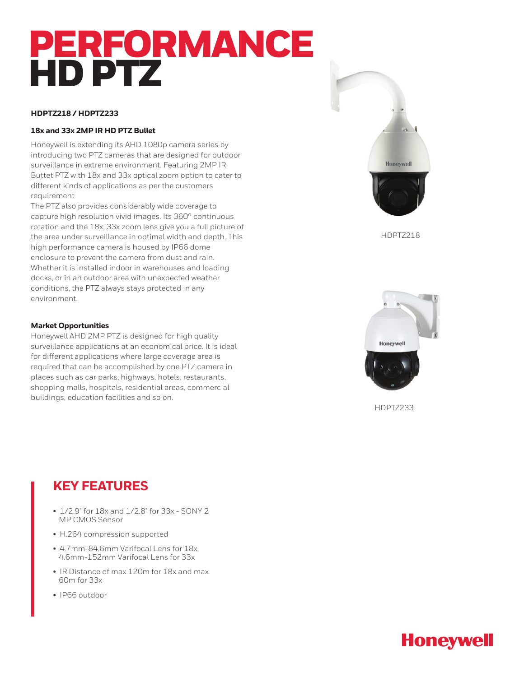# PERFORMANCE HD PTZ

## **HDPTZ218 / HDPTZ233**

## **18x and 33x 2MP IR HD PTZ Bullet**

Honeywell is extending its AHD 1080p camera series by introducing two PTZ cameras that are designed for outdoor surveillance in extreme environment. Featuring 2MP IR Buttet PTZ with 18x and 33x optical zoom option to cater to different kinds of applications as per the customers requirement

The PTZ also provides considerably wide coverage to capture high resolution vivid images. Its 360° continuous rotation and the 18x, 33x zoom lens give you a full picture of the area under surveillance in optimal width and depth. This high performance camera is housed by IP66 dome enclosure to prevent the camera from dust and rain. Whether it is installed indoor in warehouses and loading docks, or in an outdoor area with unexpected weather conditions, the PTZ always stays protected in any environment.

## **Market Opportunities**

Honeywell AHD 2MP PTZ is designed for high quality surveillance applications at an economical price. It is ideal for different applications where large coverage area is required that can be accomplished by one PTZ camera in places such as car parks, highways, hotels, restaurants, shopping malls, hospitals, residential areas, commercial buildings, education facilities and so on.





HDPTZ233

## **KEY FEATURES**

- 1/2.9" for 18x and 1/2.8" for 33x SONY 2 MP CMOS Sensor
- H.264 compression supported
- 4.7mm-84.6mm Varifocal Lens for 18x, 4.6mm-152mm Varifocal Lens for 33x
- IR Distance of max 120m for 18x and max 60m for 33x
- IP66 outdoor

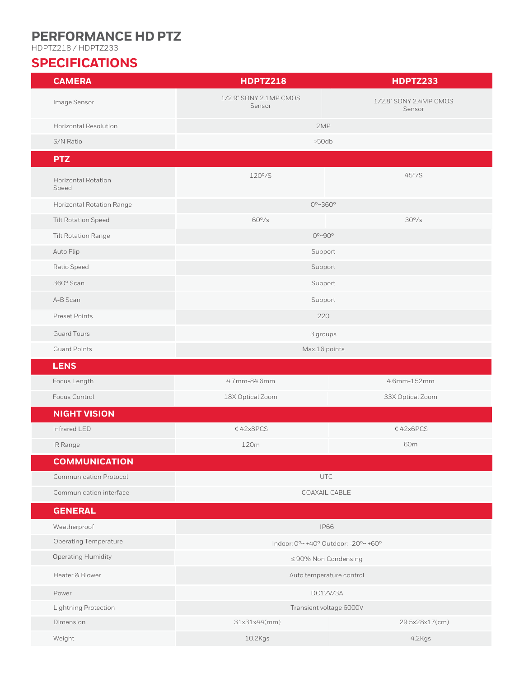# **PERFORMANCE HD PTZ**

HDPTZ218 / HDPTZ233

# **SPECIFICATIONS**

| <b>CAMERA</b>                       | <b>HDPTZ218</b>                      | <b>HDPTZ233</b>                  |
|-------------------------------------|--------------------------------------|----------------------------------|
| Image Sensor                        | 1/2.9" SONY 2.1MP CMOS<br>Sensor     | 1/2.8" SONY 2.4MP CMOS<br>Sensor |
| Horizontal Resolution               | 2MP                                  |                                  |
| S/N Ratio                           | >50db                                |                                  |
| <b>PTZ</b>                          |                                      |                                  |
| <b>Horizontal Rotation</b><br>Speed | $120^{\circ}/S$                      | $45^{\circ}$ /S                  |
| Horizontal Rotation Range           | $0^{\circ}$ ~360 $^{\circ}$          |                                  |
| <b>Tilt Rotation Speed</b>          | $60^{\circ}/s$                       | $30^{\circ}/s$                   |
| Tilt Rotation Range                 | $0^{\circ}$ ~90 $^{\circ}$           |                                  |
| Auto Flip                           | Support                              |                                  |
| Ratio Speed                         | Support                              |                                  |
| 360° Scan                           | Support                              |                                  |
| A-B Scan                            | Support                              |                                  |
| Preset Points                       | 220                                  |                                  |
| <b>Guard Tours</b>                  | 3 groups                             |                                  |
| <b>Guard Points</b>                 | Max.16 points                        |                                  |
| <b>LENS</b>                         |                                      |                                  |
| Focus Length                        | 4.7mm-84.6mm                         | 4.6mm-152mm                      |
| Focus Control                       | 18X Optical Zoom                     | 33X Optical Zoom                 |
| <b>NIGHT VISION</b>                 |                                      |                                  |
| Infrared LED                        | ¢42x8PCS                             | ¢42x6PCS                         |
| IR Range                            | 120m                                 | 60m                              |
| <b>COMMUNICATION</b>                |                                      |                                  |
| <b>Communication Protocol</b>       | UTC                                  |                                  |
| Communication interface             | COAXAIL CABLE                        |                                  |
| <b>GENERAL</b>                      |                                      |                                  |
| Weatherproof                        | <b>IP66</b>                          |                                  |
| Operating Temperature               | Indoor: 0°~ +40° Outdoor: -20°~ +60° |                                  |
| Operating Humidity                  | ≤90% Non Condensing                  |                                  |
| Heater & Blower                     | Auto temperature control             |                                  |
| Power                               | DC12V/3A                             |                                  |
| Lightning Protection                | Transient voltage 6000V              |                                  |
| Dimension                           | 31x31x44(mm)                         | 29.5x28x17(cm)                   |
| Weight                              | 10.2Kgs                              | 4.2Kgs                           |